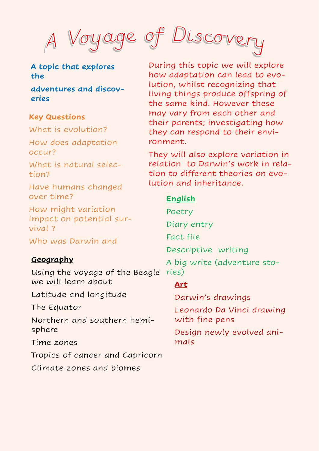#### **A topic that explores the**

**adventures and discoveries** 

#### **Key Questions**

What is evolution?

How does adaptation occur?

What is natural selection?

Have humans changed over time?

How might variation impact on potential survival ?

Who was Darwin and

#### **Geography**

Using the voyage of the Beagle ries) we will learn about

Latitude and longitude

The Equator

Northern and southern hemisphere

Time zones

Tropics of cancer and Capricorn

Climate zones and biomes



During this topic we will explore how adaptation can lead to evolution, whilst recognizing that living things produce offspring of the same kind. However these may vary from each other and their parents; investigating how they can respond to their environment.

They will also explore variation in relation to Darwin's work in relation to different theories on evolution and inheritance.

## **English**

Poetry Diary entry Fact file Descriptive writing A big write (adventure sto-

### **Art**

Darwin's drawings

Leonardo Da Vinci drawing with fine pens

Design newly evolved animals